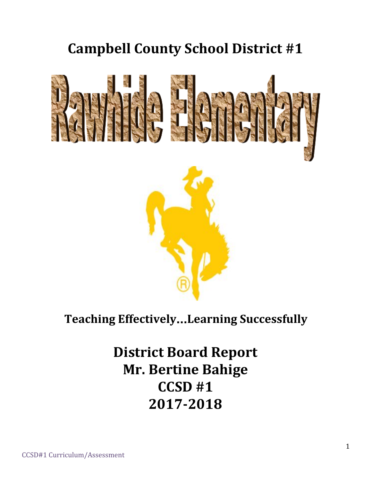# **Campbell County School District #1**



## **Teaching Effectively**…**Learning Successfully**

**District Board Report Mr. Bertine Bahige CCSD #1 2017-2018**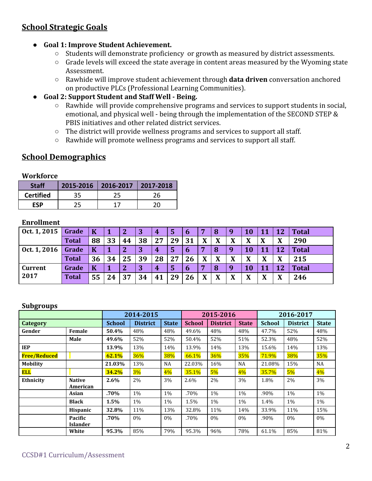## **School Strategic Goals**

- **● Goal 1: Improve Student Achievement.**
	- Students will demonstrate proficiency or growth as measured by district assessments.
	- Grade levels will exceed the state average in content areas measured by the Wyoming state Assessment.
	- Rawhide will improve student achievement through **data driven** conversation anchored on productive PLCs (Professional Learning Communities).
- **● Goal 2: Support Student and Staff Well - Being.**
	- Rawhide will provide comprehensive programs and services to support students in social, emotional, and physical well - being through the implementation of the SECOND STEP & PBIS initiatives and other related district services.
	- The district will provide wellness programs and services to support all staff.
	- Rawhide will promote wellness programs and services to support all staff.

## **School Demographics**

#### **Workforce**

| <b>Staff</b>     |    | 2015-2016   2016-2017   2017-2018 |    |
|------------------|----|-----------------------------------|----|
| <b>Certified</b> | 35 | 25                                | 26 |
| FSP              | 25 |                                   | 20 |

#### **Enrollment**

| Oct. 1, 2015   | Grade        | $\bf K$ |    |                | 3  | 4  | 5  | b           |   | -8                | 9            | 10 |    | 12 | <b>Total</b> |
|----------------|--------------|---------|----|----------------|----|----|----|-------------|---|-------------------|--------------|----|----|----|--------------|
|                | <b>Total</b> | 88      | 33 | 44             | 38 | 27 | 29 | 31          | X | $\mathbf{v}$<br>л | X            | X  |    | X  | 290          |
| Oct. 1, 2016   | Grade        | K       |    | $\overline{2}$ | 3  | 4  | 5  | 6           | 7 | 8                 | 9            | 10 | 11 | 12 | <b>Total</b> |
|                | <b>Total</b> | 36      | 34 | 25             | 39 | 28 | 27 | 26          | X | X                 | X            | X  | X  | X  | 215          |
| <b>Current</b> | Grade        | K       |    | $\mathbf{2}$   | 3  | 4  | 5  | $\mathbf b$ | 7 | 8                 | 9            | 10 | 11 | 12 | <b>Total</b> |
| 2017           | <b>Total</b> | 55      | 24 | 37             | 34 | 41 | 29 | 26          | X | X                 | $\mathbf{X}$ | X  | X  | X  | 246          |

#### **Subgroups**

|                     |                            |               | 2014-2015       |              | 2015-2016     |                 |              | 2016-2017     |                 |              |
|---------------------|----------------------------|---------------|-----------------|--------------|---------------|-----------------|--------------|---------------|-----------------|--------------|
| <b>Category</b>     |                            | <b>School</b> | <b>District</b> | <b>State</b> | <b>School</b> | <b>District</b> | <b>State</b> | <b>School</b> | <b>District</b> | <b>State</b> |
| Gender              | Female                     | 50.4%         | 48%             | 48%          | 49.6%         | 48%             | 48%          | 47.7%         | 52%             | 48%          |
|                     | Male                       | 49.6%         | 52%             | 52%          | 50.4%         | 52%             | 51%          | 52.3%         | 48%             | 52%          |
| <b>IEP</b>          |                            | 13.9%         | 13%             | 14%          | 13.9%         | 14%             | 13%          | 15.6%         | 14%             | 13%          |
| <b>Free/Reduced</b> |                            | 62.1%         | 36%             | 38%          | 66.1%         | 36%             | 35%          | 71.9%         | 38%             | 35%          |
| <b>Mobility</b>     |                            | 21.03%        | 13%             | <b>NA</b>    | 22.03%        | 16%             | <b>NA</b>    | 21.08%        | 15%             | <b>NA</b>    |
| <b>ELL</b>          |                            | 34.2%         | 3%              | 4%           | 35.1%         | $5\%$           | $4\%$        | 35.7%         | $5\%$           | $4\%$        |
| Ethnicity           | <b>Native</b><br>American  | 2.6%          | 2%              | 3%           | 2.6%          | 2%              | 3%           | 1.8%          | 2%              | 3%           |
|                     | Asian                      | .70%          | 1%              | 1%           | .70%          | 1%              | 1%           | .90%          | 1%              | 1%           |
|                     | <b>Black</b>               | 1.5%          | $1\%$           | $1\%$        | 1.5%          | $1\%$           | $1\%$        | 1.4%          | $1\%$           | $1\%$        |
|                     | Hispanic                   | 32.8%         | 11%             | 13%          | 32.8%         | 11%             | 14%          | 33.9%         | 11%             | 15%          |
|                     | Pacific<br><b>Islander</b> | .70%          | $0\%$           | $0\%$        | .70%          | $0\%$           | 0%           | .90%          | 0%              | $0\%$        |
|                     | White                      | 95.3%         | 85%             | 79%          | 95.3%         | 96%             | 78%          | 61.1%         | 85%             | 81%          |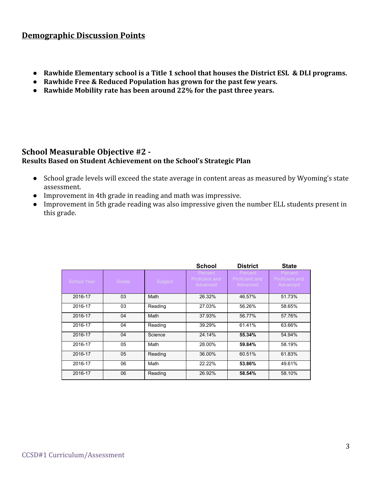#### **Demographic Discussion Points**

- **● Rawhide Elementary school is a Title 1 school that houses the District ESL & DLI programs.**
- **● Rawhide Free & Reduced Population has grown for the past few years.**
- **● Rawhide Mobility rate has been around 22% for the past three years.**

#### **School Measurable Objective #2 - Results Based on Student Achievement on the School's Strategic Plan**

- School grade levels will exceed the state average in content areas as measured by Wyoming's state assessment.
- Improvement in 4th grade in reading and math was impressive.
- Improvement in 5th grade reading was also impressive given the number ELL students present in this grade.

|             |       |         | <b>School</b>                         | <b>District</b>                       | <b>State</b>                                 |
|-------------|-------|---------|---------------------------------------|---------------------------------------|----------------------------------------------|
| School Year | Grade | Subject | Percent<br>Proficient and<br>Advanced | Percent<br>Proficient and<br>Advanced | Percent<br><b>Proficient and</b><br>Advanced |
| 2016-17     | 03    | Math    | 26.32%                                | 46.57%                                | 51.73%                                       |
| 2016-17     | 03    | Reading | 27.03%                                | 56.26%                                | 58.65%                                       |
| 2016-17     | 04    | Math    | 37.93%                                | 56.77%                                | 57.76%                                       |
| 2016-17     | 04    | Reading | 39.29%                                | 61.41%                                | 63.66%                                       |
| 2016-17     | 04    | Science | 24.14%                                | 55.34%                                | 54.94%                                       |
| 2016-17     | 05    | Math    | 28.00%                                | 59.84%                                | 58.19%                                       |
| 2016-17     | 05    | Reading | 36.00%                                | 60.51%                                | 61.83%                                       |
| 2016-17     | 06    | Math    | 22.22%                                | 53.86%                                | 49.61%                                       |
| 2016-17     | 06    | Reading | 26.92%                                | 58.54%                                | 58.10%                                       |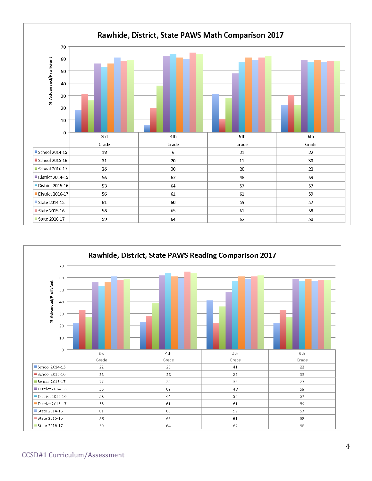

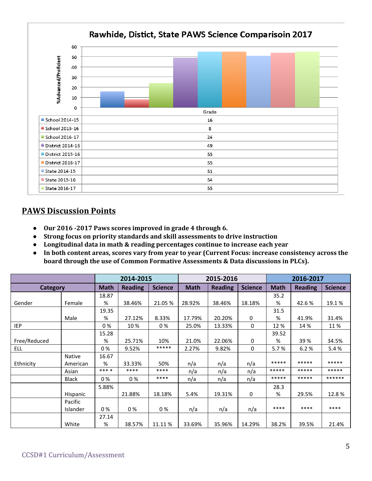

## **PAWS Discussion Points**

- **● Our 2016 -2017 Paws scores improved in grade 4 through 6.**
- **● Strong focus on priority standards and skill assessments to drive instruction**
- **● Longitudinal data in math & reading percentages continue to increase each year**
- **● In both content areas, scores vary from year to year (Current Focus: increase consistency across the board through the use of Common Formative Assessments & Data discussions in PLCs).**

|              | 2014-2015     |             |                | 2015-2016      |             | 2016-2017      |                |             |                |                |
|--------------|---------------|-------------|----------------|----------------|-------------|----------------|----------------|-------------|----------------|----------------|
| Category     |               | <b>Math</b> | <b>Reading</b> | <b>Science</b> | <b>Math</b> | <b>Reading</b> | <b>Science</b> | <b>Math</b> | <b>Reading</b> | <b>Science</b> |
|              |               | 18.87       |                |                |             |                |                | 35.2        |                |                |
| Gender       | Female        | %           | 38.46%         | 21.05 %        | 28.92%      | 38.46%         | 18.18%         | %           | 42.6%          | 19.1%          |
|              |               | 19.35       |                |                |             |                |                | 31.5        |                |                |
|              | Male          | %           | 27.12%         | 8.33%          | 17.79%      | 20.20%         | $\mathbf 0$    | %           | 41.9%          | 31.4%          |
| <b>IEP</b>   |               | 0%          | 10 %           | 0%             | 25.0%       | 13.33%         | 0              | 12 %        | 14 %           | 11 %           |
|              |               | 15.28       |                |                |             |                |                | 39.52       |                |                |
| Free/Reduced |               | %           | 25.71%         | 10%            | 21.0%       | 22.06%         | 0              | %           | 39 %           | 34.5%          |
| <b>ELL</b>   |               | 0%          | 9.52%          | *****          | 2.27%       | 9.82%          | $\Omega$       | 5.7%        | 6.2%           | 5.4%           |
|              | <b>Native</b> | 16.67       |                |                |             |                |                |             |                |                |
| Ethnicity    | American      | %           | 33.33%         | 50%            | n/a         | n/a            | n/a            | *****       | *****          | *****          |
|              | Asian         | $***$ *     | ****           | ****           | n/a         | n/a            | n/a            | *****       | *****          | *****          |
|              | <b>Black</b>  | 0%          | 0%             | ****           | n/a         | n/a            | n/a            | *****       | *****          | ******         |
|              |               | 5.88%       |                |                |             |                |                | 28.3        |                |                |
|              | Hispanic      |             | 21.88%         | 18.18%         | 5.4%        | 19.31%         | $\mathbf 0$    | %           | 29.5%          | 12.8%          |
|              | Pacific       |             |                |                |             |                |                |             |                |                |
|              | Islander      | 0%          | 0%             | 0%             | n/a         | n/a            | n/a            | ****        | ****           | ****           |
|              |               | 27.14       |                |                |             |                |                |             |                |                |
|              | White         | %           | 38.57%         | 11.11 %        | 33.69%      | 35.96%         | 14.29%         | 38.2%       | 39.5%          | 21.4%          |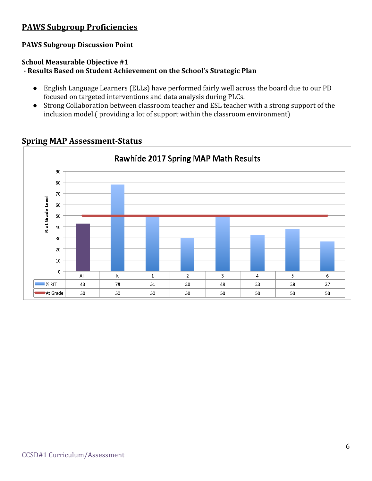## **PAWS Subgroup Proficiencies**

#### **PAWS Subgroup Discussion Point**

#### **School Measurable Objective #1**

**- Results Based on Student Achievement on the School's Strategic Plan**

- **●** English Language Learners (ELLs) have performed fairly well across the board due to our PD focused on targeted interventions and data analysis during PLCs.
- Strong Collaboration between classroom teacher and ESL teacher with a strong support of the inclusion model.( providing a lot of support within the classroom environment)



#### **Spring MAP Assessment-Status**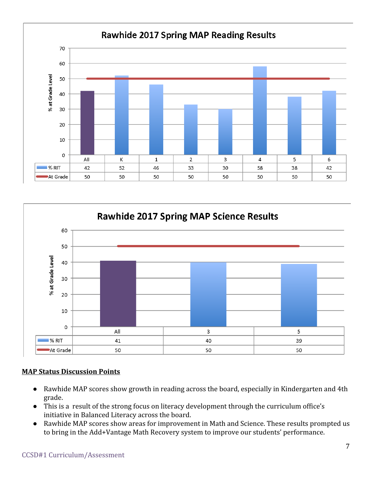



#### **MAP Status Discussion Points**

- Rawhide MAP scores show growth in reading across the board, especially in Kindergarten and 4th grade.
- This is a result of the strong focus on literacy development through the curriculum office's initiative in Balanced Literacy across the board.
- Rawhide MAP scores show areas for improvement in Math and Science. These results prompted us to bring in the Add+Vantage Math Recovery system to improve our students' performance.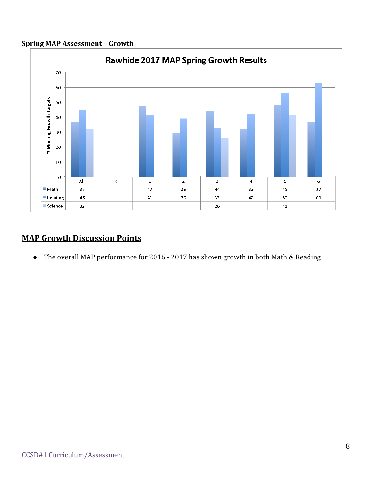#### **Spring MAP Assessment – Growth**



## **MAP Growth Discussion Points**

● The overall MAP performance for 2016 - 2017 has shown growth in both Math & Reading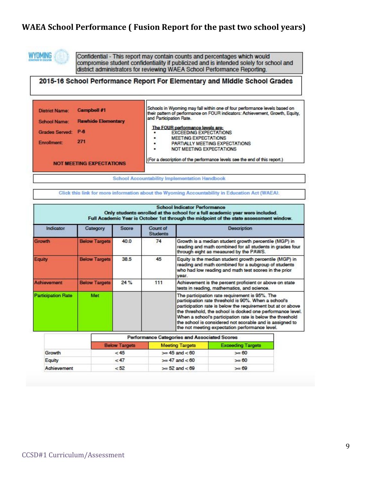## **WAEA School Performance ( Fusion Report for the past two school years)**



Confidential - This report may contain counts and percentages which would compromise student confidentiality if publicized and is intended solely for school and district administrators for reviewing WAEA School Performance Reporting.

#### 2015-16 School Performance Report For Elementary and Middle School Grades

| <b>Campbell #1</b><br><b>District Name:</b><br><b>Rawhide Elementary</b><br><b>School Name:</b><br>Grades Served: P-6<br>271<br>Enrollment: | Schools in Wyoming may fall within one of four performance levels based on<br>their pattern of performance on FOUR indicators: Achievement, Growth, Equity,<br>and Participation Rate.<br>The FOUR performance levels are:<br><b>EXCEEDING EXPECTATIONS</b><br><b>MEETING EXPECTATIONS</b><br>٠<br>PARTIALLY MEETING EXPECTATIONS<br>۴<br>NOT MEETING EXPECTATIONS<br>٠ |
|---------------------------------------------------------------------------------------------------------------------------------------------|-------------------------------------------------------------------------------------------------------------------------------------------------------------------------------------------------------------------------------------------------------------------------------------------------------------------------------------------------------------------------|
| <b>NOT MEETING EXPECTATIONS</b>                                                                                                             | (For a description of the performance levels see the end of this report.)                                                                                                                                                                                                                                                                                               |

Click this link for more information about the Wyoming Accountability in Education Act (WAEA).

|                           | <b>School Indicator Performance</b><br>Only students enrolled at the school for a full academic year were included.<br>Full Academic Year is October 1st through the midpoint of the state assessment window. |       |                             |                                                                                                                                                                                                                                                                                                                                                                                                                |  |  |  |  |  |  |
|---------------------------|---------------------------------------------------------------------------------------------------------------------------------------------------------------------------------------------------------------|-------|-----------------------------|----------------------------------------------------------------------------------------------------------------------------------------------------------------------------------------------------------------------------------------------------------------------------------------------------------------------------------------------------------------------------------------------------------------|--|--|--|--|--|--|
| Indicator                 | Category                                                                                                                                                                                                      | Score | Count of<br><b>Students</b> | <b>Description</b>                                                                                                                                                                                                                                                                                                                                                                                             |  |  |  |  |  |  |
| Growth                    | <b>Below Targets</b>                                                                                                                                                                                          | 40.0  | 74                          | Growth is a median student growth percentile (MGP) in<br>reading and math combined for all students in grades four<br>through eight as measured by the PAWS.                                                                                                                                                                                                                                                   |  |  |  |  |  |  |
| Equity                    | <b>Below Targets</b>                                                                                                                                                                                          | 38.5  | 45                          | Equity is the median student growth percentile (MGP) in<br>reading and math combined for a subgroup of students<br>who had low reading and math test scores in the prior<br>year.                                                                                                                                                                                                                              |  |  |  |  |  |  |
| Achievement               | <b>Below Targets</b>                                                                                                                                                                                          | 24 %  | 111                         | Achievement is the percent proficient or above on state<br>tests in reading, mathematics, and science.                                                                                                                                                                                                                                                                                                         |  |  |  |  |  |  |
| <b>Participation Rate</b> | Met                                                                                                                                                                                                           |       |                             | The participation rate requirement is 95%. The<br>participation rate threshold is 90%. When a school's<br>participation rate is below the requirement but at or above<br>the threshold, the school is docked one performance level.<br>When a school's participation rate is below the threshold<br>the school is considered not scorable and is assigned to<br>the not meeting expectation performance level. |  |  |  |  |  |  |

|             | Performance Categories and Associated Scores |                        |                          |  |  |  |  |  |  |
|-------------|----------------------------------------------|------------------------|--------------------------|--|--|--|--|--|--|
|             | <b>Below Targets</b>                         | <b>Meeting Targets</b> | <b>Exceeding Targets</b> |  |  |  |  |  |  |
| Growth      | < 45                                         | $>= 45$ and $< 60$     | $>= 60$                  |  |  |  |  |  |  |
| Equity      | <47                                          | $>= 47$ and $< 60$     | $>= 60$                  |  |  |  |  |  |  |
| Achievement | < 52                                         | $>= 52$ and $< 69$     | $= 69$                   |  |  |  |  |  |  |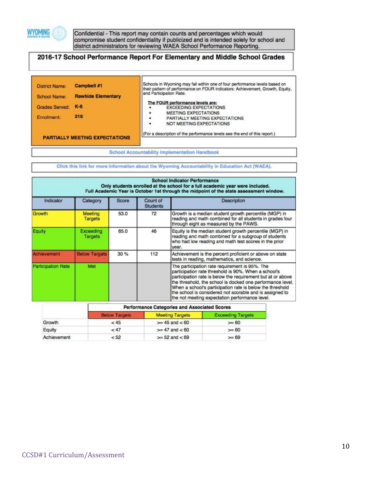

Confidential - This report may contain counts and percentages which would<br>compromise student confidentiality if publicized and is intended solely for school and district administrators for reviewing WAEA School Performance Reporting.

#### 2016-17 School Performance Report For Elementary and Middle School Grades

| <b>District Name:</b> | <b>Campbell #1</b>                    | Schools in Wyoming may fall within one of four performance levels based on<br>their pattern of performance on FOUR indicators: Achievement, Growth, Equity, |
|-----------------------|---------------------------------------|-------------------------------------------------------------------------------------------------------------------------------------------------------------|
| School Name:          | <b>Rawhide Elementary</b>             | and Participation Rate.                                                                                                                                     |
| <b>Grades Served:</b> | $K-6$                                 | The FOUR performance levels are:<br><b>EXCEEDING EXPECTATIONS</b>                                                                                           |
| Enrollment:           | 218                                   | <b>MEETING EXPECTATIONS</b><br>٠<br>PARTIALLY MEETING EXPECTATIONS<br>٠                                                                                     |
|                       |                                       | NOT MEETING EXPECTATIONS<br>٠                                                                                                                               |
|                       | <b>PARTIALLY MEETING EXPECTATIONS</b> | (For a description of the performance levels see the end of this report.)                                                                                   |

**School Accountability Implementation Handbook** 

Click this link for more information about the Wyoming Accountability in Education Act (WAEA).

| <b>School Indicator Performance</b><br>Only students enrolled at the school for a full academic year were included.<br>Full Academic Year is October 1st through the midpoint of the state assessment window. |                                  |              |                             |                                                                                                                                                                                                                                                                                                                                                                                                                |  |  |  |  |
|---------------------------------------------------------------------------------------------------------------------------------------------------------------------------------------------------------------|----------------------------------|--------------|-----------------------------|----------------------------------------------------------------------------------------------------------------------------------------------------------------------------------------------------------------------------------------------------------------------------------------------------------------------------------------------------------------------------------------------------------------|--|--|--|--|
| Indicator                                                                                                                                                                                                     | Category                         | <b>Score</b> | Count of<br><b>Students</b> | Description                                                                                                                                                                                                                                                                                                                                                                                                    |  |  |  |  |
| Growth                                                                                                                                                                                                        | <b>Meeting</b><br><b>Targets</b> | 53.0         | 72                          | Growth is a median student growth percentile (MGP) in<br>reading and math combined for all students in grades four<br>through eight as measured by the PAWS.                                                                                                                                                                                                                                                   |  |  |  |  |
| Equity                                                                                                                                                                                                        | Exceeding<br><b>Targets</b>      | 65.0         | 46                          | Equity is the median student growth percentile (MGP) in<br>reading and math combined for a subgroup of students<br>who had low reading and math test scores in the prior<br>year.                                                                                                                                                                                                                              |  |  |  |  |
| Achievement                                                                                                                                                                                                   | <b>Below Targets</b>             | 30%          | 112                         | Achievement is the percent proficient or above on state<br>tests in reading, mathematics, and science.                                                                                                                                                                                                                                                                                                         |  |  |  |  |
| <b>Participation Rate</b>                                                                                                                                                                                     | Met                              |              |                             | The participation rate requirement is 95%. The<br>participation rate threshold is 90%. When a school's<br>participation rate is below the requirement but at or above<br>the threshold, the school is docked one performance level.<br>When a school's participation rate is below the threshold<br>the school is considered not scorable and is assigned to<br>the not meeting expectation performance level. |  |  |  |  |

|             | <b>Performance Categories and Associated Scores</b> |                        |                          |  |  |  |  |  |
|-------------|-----------------------------------------------------|------------------------|--------------------------|--|--|--|--|--|
|             | <b>Below Targets</b>                                | <b>Meeting Targets</b> | <b>Exceeding Targets</b> |  |  |  |  |  |
| Growth      | < 45                                                | $>= 45$ and $< 60$     | $>= 60$                  |  |  |  |  |  |
| Equity      | < 47                                                | $>= 47$ and $< 60$     | $>= 60$                  |  |  |  |  |  |
| Achievement | < 52                                                | $>= 52$ and $< 69$     | $>= 69$                  |  |  |  |  |  |